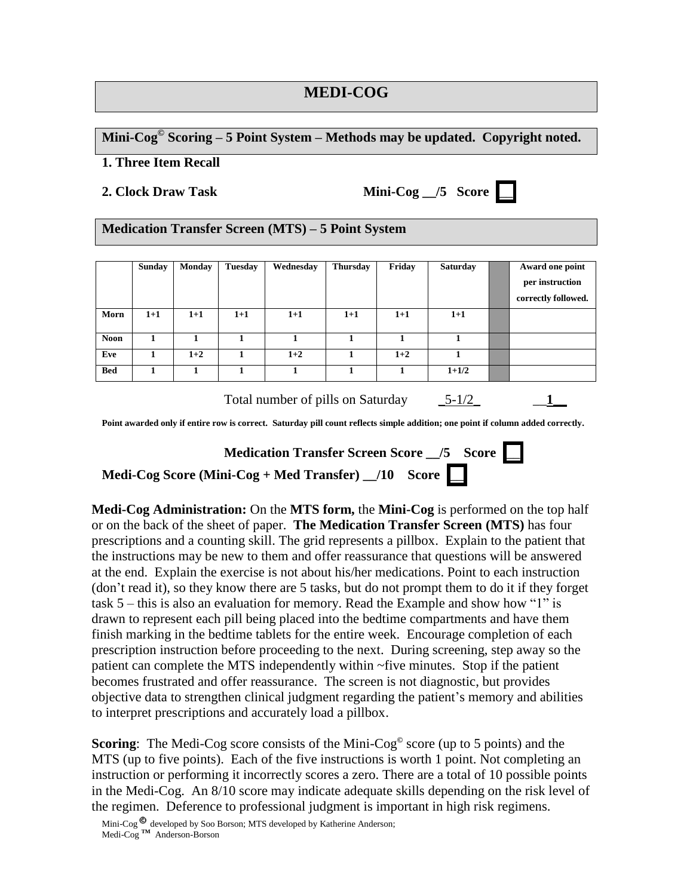## **MEDI-COG**

**Mini-Cog© Scoring – 5 Point System – Methods may be updated. Copyright noted.**

## **1. Three Item Recall**

2. Clock Draw Task Mini-Cog \_\_/5 Score



**Medication Transfer Screen (MTS) – 5 Point System**

|             | <b>Sunday</b> | <b>Monday</b> | <b>Tuesday</b> | Wednesday | <b>Thursday</b> | Friday | <b>Saturday</b> | Award one point<br>per instruction<br>correctly followed. |
|-------------|---------------|---------------|----------------|-----------|-----------------|--------|-----------------|-----------------------------------------------------------|
| Morn        | $1+1$         | $1+1$         | $1+1$          | $1+1$     | $1+1$           | $1+1$  | $1+1$           |                                                           |
| <b>Noon</b> |               |               |                |           |                 |        |                 |                                                           |
| Eve         |               | $1+2$         |                | $1+2$     |                 | $1+2$  |                 |                                                           |
| <b>Bed</b>  |               |               |                |           |                 |        | $1 + 1/2$       |                                                           |

Total number of pills on Saturday 5-1/2

**Point awarded only if entire row is correct. Saturday pill count reflects simple addition; one point if column added correctly.**

**Medication Transfer Screen Score \_\_/5 Score** \_\_

**Medi-Cog Score (Mini-Cog + Med Transfer) \_\_/10 Score** \_\_

**Medi-Cog Administration:** On the **MTS form,** the **Mini-Cog** is performed on the top half or on the back of the sheet of paper. **The Medication Transfer Screen (MTS)** has four prescriptions and a counting skill. The grid represents a pillbox. Explain to the patient that the instructions may be new to them and offer reassurance that questions will be answered at the end. Explain the exercise is not about his/her medications. Point to each instruction (don't read it), so they know there are 5 tasks, but do not prompt them to do it if they forget task 5 – this is also an evaluation for memory. Read the Example and show how "1" is drawn to represent each pill being placed into the bedtime compartments and have them finish marking in the bedtime tablets for the entire week. Encourage completion of each prescription instruction before proceeding to the next. During screening, step away so the patient can complete the MTS independently within ~five minutes. Stop if the patient becomes frustrated and offer reassurance. The screen is not diagnostic, but provides objective data to strengthen clinical judgment regarding the patient's memory and abilities to interpret prescriptions and accurately load a pillbox.

**Scoring**: The Medi-Cog score consists of the Mini-Cog**©** score (up to 5 points) and the MTS (up to five points). Each of the five instructions is worth 1 point. Not completing an instruction or performing it incorrectly scores a zero. There are a total of 10 possible points in the Medi-Cog. An 8/10 score may indicate adequate skills depending on the risk level of the regimen. Deference to professional judgment is important in high risk regimens.

Mini-Cog developed by Soo Borson; MTS developed by Katherine Anderson; Medi-Cog **TM** Anderson-Borson